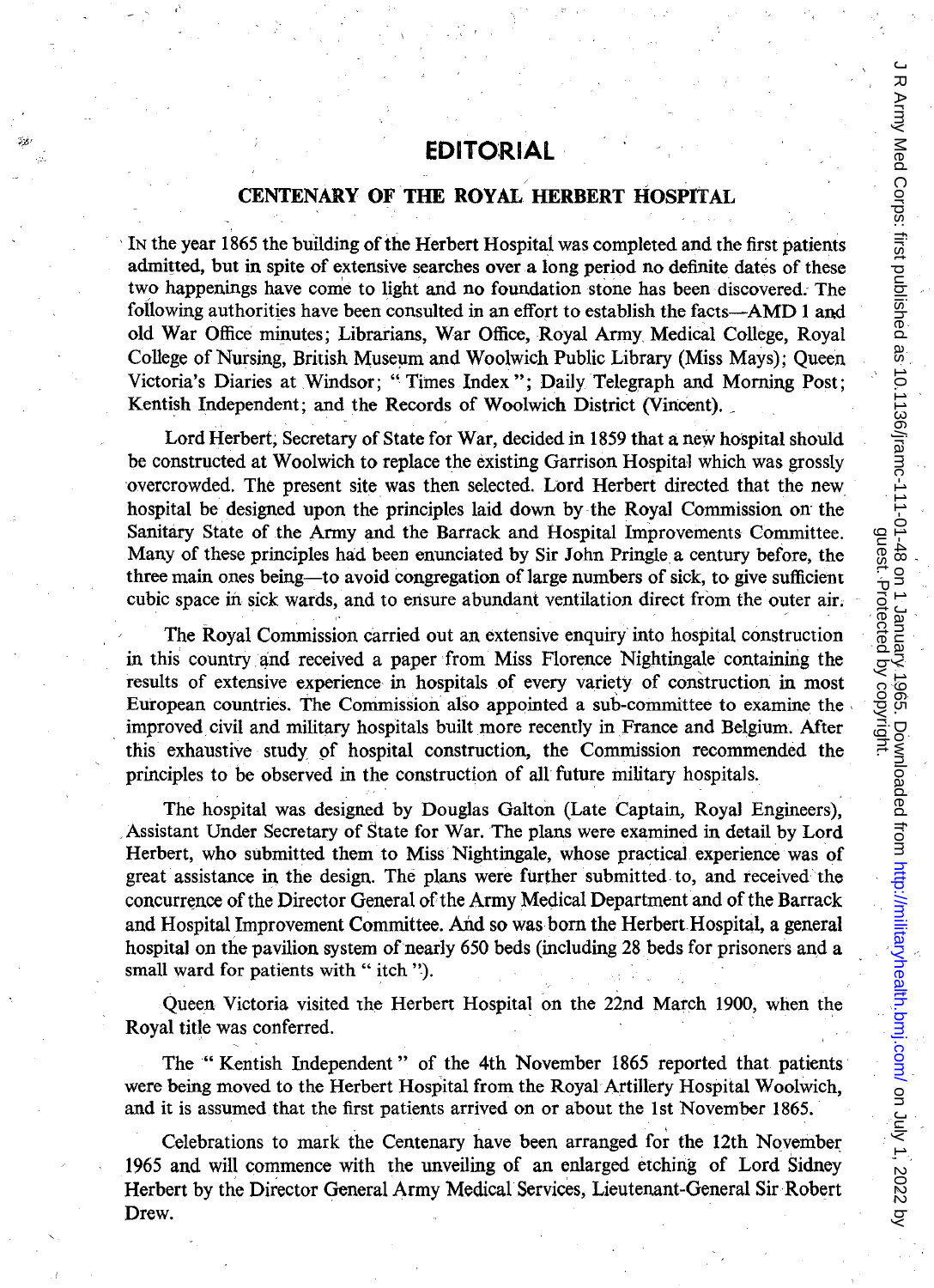## **EDITORIAL**

## / **CENTENARY OF THE ROYAL HERBERT HOSPITAL**

IN the year 1865 the building of the Herbert Hospital was completed and the first patients admitted, but in spite of extensive searches over a long period no definite dates of these two happenings have come to light and no foundation stone has been discovered. The following authorities have been consulted in an effort to establish the facts—AMD 1 and old War Office minutes; Librarians, War Office, Royal Army Medical College, Royal College of Nursing, British Museum and Woolwich Public Library (Miss Mays); Queen Victoria's Diaries at Windsor; "Times Index"; Daily Telegraph and Morning Post; Kentish Independent; and the Records of Woolwich District (Vincent).

Lord Herbert; Secretary of State for War, decided in 1859 that a new hospital should be constructed at Woolwich to replace the existing Garrison Hospital which was grossly overcrowded. The present site was then selected. Lord Herbert directed that the new hospital be designed upon the principles laid down by the Royal Commission on the Sanitary State of the Army and the Barrack and Hospital Improvements Committee. Many of these principles had been enunciated by Sir John Pringle a century before, the three main ones being-to avoid congregation of large numbers of sick, to give sufficient cubic space in sick wards, and to ensure abundant ventilation direct from the outer air.

The Royal Commission carried out an extensive enquiry into hospital construction in this country and received a paper from Miss Florence Nightingale containing the results of extensive experience in hospitals of every variety of construction in most European countries. The Commission also appointed a sub-committee to examine the ' improved civil and military hospitals built more recently in France and Belgium. After this exhaustive study of hospital construction, the Commission recommended the principles to be observed in the construction of all future military hospitals.

The hospital was designed by Douglas Galton (Late Captain, Royal Engineers); ,Assistant Under Secretary of State for War. The plans were examined in detail by Lord Herbert, who submitted them to Miss' Nightingale, whose practical experience was of great assistance in the design. The plans were further submitted to, and received the concurrence of the Director General of the Army Medical Department and of the Barrack and Hospital Improvement Committee. And so was born the Herbert Hospital, a general hospital on the pavilion system of nearly 650 beds (including 28 beds for prisoners and a small ward for patients with "itch ").

Queen Victoria visited the Herbert Hospital on the 22nd March 1900, when the Royal title was conferred.

The" Kentish Independent" of the 4th November 1865 reported that patients were being moved to the Herbert Hospital from the Royal Artillery Hospital Woolwich, and it is assumed that the first patients arrived on or about the 1st November 1865.

Celebrations to mark the Centenary have been arranged for the 12th November 1965 and will commence with the unveiling of an enlarged etching of Lord Sidney Herbert by the Director General Army Medical Services, Lieutenant-General Sir Robert Drew.